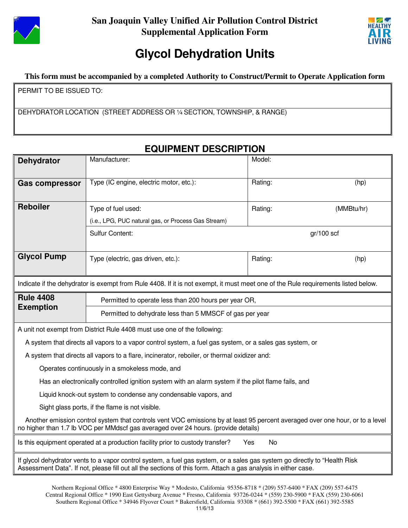



# **Glycol Dehydration Units**

**This form must be accompanied by a completed Authority to Construct/Permit to Operate Application form**

PERMIT TO BE ISSUED TO:

DEHYDRATOR LOCATION (STREET ADDRESS OR ¼ SECTION, TOWNSHIP, & RANGE)

## **EQUIPMENT DESCRIPTION**

| <b>Dehydrator</b>                                                                                                                                                                                                                            | Model:<br>Manufacturer:                                                                                                           |                       |  |  |  |  |
|----------------------------------------------------------------------------------------------------------------------------------------------------------------------------------------------------------------------------------------------|-----------------------------------------------------------------------------------------------------------------------------------|-----------------------|--|--|--|--|
| <b>Gas compressor</b>                                                                                                                                                                                                                        | Type (IC engine, electric motor, etc.):                                                                                           | Rating:<br>(hp)       |  |  |  |  |
| <b>Reboiler</b>                                                                                                                                                                                                                              | Type of fuel used:                                                                                                                | (MMBtu/hr)<br>Rating: |  |  |  |  |
|                                                                                                                                                                                                                                              | (i.e., LPG, PUC natural gas, or Process Gas Stream)                                                                               |                       |  |  |  |  |
|                                                                                                                                                                                                                                              | <b>Sulfur Content:</b>                                                                                                            | $gr/100$ scf          |  |  |  |  |
| <b>Glycol Pump</b>                                                                                                                                                                                                                           | Type (electric, gas driven, etc.):                                                                                                | Rating:<br>(hp)       |  |  |  |  |
|                                                                                                                                                                                                                                              | Indicate if the dehydrator is exempt from Rule 4408. If it is not exempt, it must meet one of the Rule requirements listed below. |                       |  |  |  |  |
| <b>Rule 4408</b>                                                                                                                                                                                                                             | Permitted to operate less than 200 hours per year OR,                                                                             |                       |  |  |  |  |
| <b>Exemption</b>                                                                                                                                                                                                                             | Permitted to dehydrate less than 5 MMSCF of gas per year                                                                          |                       |  |  |  |  |
| A unit not exempt from District Rule 4408 must use one of the following:                                                                                                                                                                     |                                                                                                                                   |                       |  |  |  |  |
| A system that directs all vapors to a vapor control system, a fuel gas system, or a sales gas system, or                                                                                                                                     |                                                                                                                                   |                       |  |  |  |  |
| A system that directs all vapors to a flare, incinerator, reboiler, or thermal oxidizer and:                                                                                                                                                 |                                                                                                                                   |                       |  |  |  |  |
| Operates continuously in a smokeless mode, and                                                                                                                                                                                               |                                                                                                                                   |                       |  |  |  |  |
| Has an electronically controlled ignition system with an alarm system if the pilot flame fails, and                                                                                                                                          |                                                                                                                                   |                       |  |  |  |  |
| Liquid knock-out system to condense any condensable vapors, and                                                                                                                                                                              |                                                                                                                                   |                       |  |  |  |  |
| Sight glass ports, if the flame is not visible.                                                                                                                                                                                              |                                                                                                                                   |                       |  |  |  |  |
| Another emission control system that controls vent VOC emissions by at least 95 percent averaged over one hour, or to a level<br>no higher than 1.7 lb VOC per MMdscf gas averaged over 24 hours. (provide details)                          |                                                                                                                                   |                       |  |  |  |  |
| Is this equipment operated at a production facility prior to custody transfer?<br>No<br>Yes                                                                                                                                                  |                                                                                                                                   |                       |  |  |  |  |
| If glycol dehydrator vents to a vapor control system, a fuel gas system, or a sales gas system go directly to "Health Risk<br>Assessment Data". If not, please fill out all the sections of this form. Attach a gas analysis in either case. |                                                                                                                                   |                       |  |  |  |  |

Northern Regional Office \* 4800 Enterprise Way \* Modesto, California 95356-8718 \* (209) 557-6400 \* FAX (209) 557-6475 Central Regional Office \* 1990 East Gettysburg Avenue \* Fresno, California 93726-0244 \* (559) 230-5900 \* FAX (559) 230-6061 Southern Regional Office \* 34946 Flyover Court \* Bakersfield, California 93308 \* (661) 392-5500 \* FAX (661) 392-5585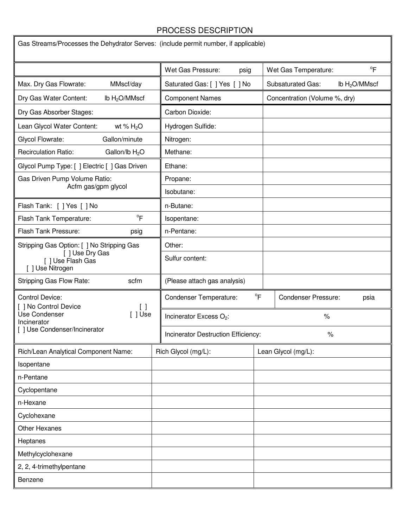#### PROCESS DESCRIPTION

 $\blacksquare$ 

**IF** 

| Gas Streams/Processes the Dehydrator Serves: (include permit number, if applicable) |  |                                                                             |  |                                              |  |
|-------------------------------------------------------------------------------------|--|-----------------------------------------------------------------------------|--|----------------------------------------------|--|
|                                                                                     |  | Wet Gas Pressure:<br>psig                                                   |  | $\mathrm{P}^{\circ}$<br>Wet Gas Temperature: |  |
| Max. Dry Gas Flowrate:<br>MMscf/day                                                 |  | Saturated Gas: [ ] Yes [ ] No                                               |  | Ib $H2O/MMscf$<br><b>Subsaturated Gas:</b>   |  |
| Dry Gas Water Content:<br>lb $H2O/MMscf$                                            |  | <b>Component Names</b>                                                      |  | Concentration (Volume %, dry)                |  |
| Dry Gas Absorber Stages:                                                            |  | Carbon Dioxide:                                                             |  |                                              |  |
| Lean Glycol Water Content:<br>wt % $H_2O$                                           |  | Hydrogen Sulfide:                                                           |  |                                              |  |
| Glycol Flowrate:<br>Gallon/minute                                                   |  | Nitrogen:                                                                   |  |                                              |  |
| <b>Recirculation Ratio:</b><br>Gallon/lb H <sub>2</sub> O                           |  | Methane:                                                                    |  |                                              |  |
| Glycol Pump Type: [ ] Electric [ ] Gas Driven                                       |  | Ethane:                                                                     |  |                                              |  |
| Gas Driven Pump Volume Ratio:                                                       |  | Propane:                                                                    |  |                                              |  |
| Acfm gas/gpm glycol                                                                 |  | Isobutane:                                                                  |  |                                              |  |
| Flash Tank: [ ] Yes [ ] No                                                          |  | n-Butane:                                                                   |  |                                              |  |
| $\mathrm{P}^{\circ}$<br>Flash Tank Temperature:                                     |  | Isopentane:                                                                 |  |                                              |  |
| Flash Tank Pressure:<br>psig                                                        |  | n-Pentane:                                                                  |  |                                              |  |
| Stripping Gas Option: [ ] No Stripping Gas                                          |  | Other:                                                                      |  |                                              |  |
| [] Use Dry Gas<br>[] Use Flash Gas<br>[ ] Use Nitrogen                              |  | Sulfur content:                                                             |  |                                              |  |
| Stripping Gas Flow Rate:<br>scfm                                                    |  | (Please attach gas analysis)                                                |  |                                              |  |
| <b>Control Device:</b><br>[ ] No Control Device                                     |  | $\mathrm{P}$<br><b>Condenser Temperature:</b><br><b>Condenser Pressure:</b> |  | psia                                         |  |
| Use Condenser<br>$[ ]$ Use<br>Incinerator                                           |  | Incinerator Excess O <sub>2</sub> :<br>$\%$                                 |  |                                              |  |
| [] Use Condenser/Incinerator                                                        |  | Incinerator Destruction Efficiency:<br>$\%$                                 |  |                                              |  |
| Rich/Lean Analytical Component Name:                                                |  | Rich Glycol (mg/L):                                                         |  | Lean Glycol (mg/L):                          |  |
| Isopentane                                                                          |  |                                                                             |  |                                              |  |
| n-Pentane                                                                           |  |                                                                             |  |                                              |  |
| Cyclopentane                                                                        |  |                                                                             |  |                                              |  |
| n-Hexane                                                                            |  |                                                                             |  |                                              |  |
| Cyclohexane                                                                         |  |                                                                             |  |                                              |  |
| <b>Other Hexanes</b>                                                                |  |                                                                             |  |                                              |  |
| Heptanes                                                                            |  |                                                                             |  |                                              |  |
| Methylcyclohexane                                                                   |  |                                                                             |  |                                              |  |
| 2, 2, 4-trimethylpentane                                                            |  |                                                                             |  |                                              |  |
| Benzene                                                                             |  |                                                                             |  |                                              |  |